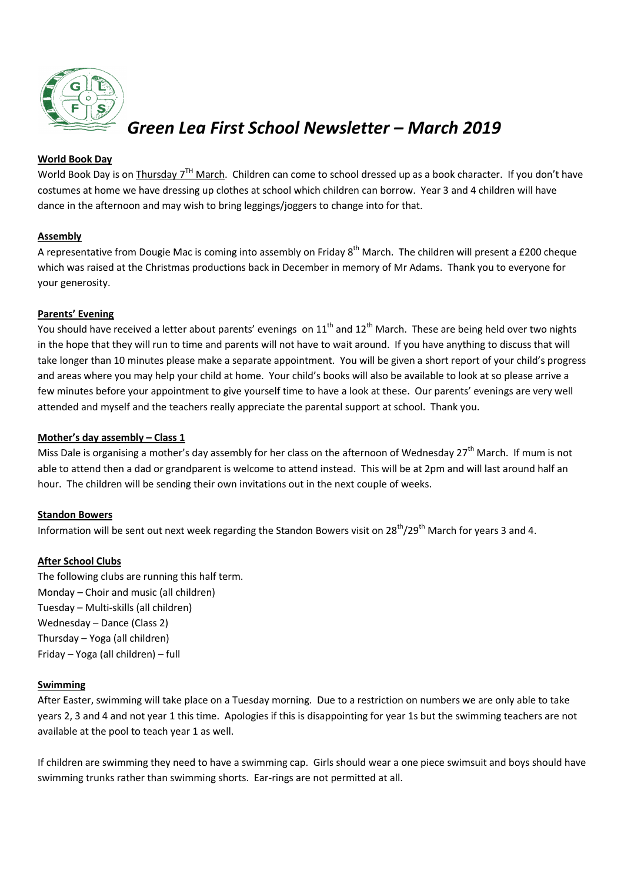

# *Green Lea First School Newsletter – March 2019*

## **World Book Day**

World Book Day is on Thursday  $7^{TH}$  March. Children can come to school dressed up as a book character. If you don't have costumes at home we have dressing up clothes at school which children can borrow. Year 3 and 4 children will have dance in the afternoon and may wish to bring leggings/joggers to change into for that.

## **Assembly**

A representative from Dougie Mac is coming into assembly on Friday 8<sup>th</sup> March. The children will present a £200 cheque which was raised at the Christmas productions back in December in memory of Mr Adams. Thank you to everyone for your generosity.

## **Parents' Evening**

You should have received a letter about parents' evenings on  $11<sup>th</sup>$  and  $12<sup>th</sup>$  March. These are being held over two nights in the hope that they will run to time and parents will not have to wait around. If you have anything to discuss that will take longer than 10 minutes please make a separate appointment. You will be given a short report of your child's progress and areas where you may help your child at home. Your child's books will also be available to look at so please arrive a few minutes before your appointment to give yourself time to have a look at these. Our parents' evenings are very well attended and myself and the teachers really appreciate the parental support at school. Thank you.

## **Mother's day assembly – Class 1**

Miss Dale is organising a mother's day assembly for her class on the afternoon of Wednesdav  $27<sup>th</sup>$  March. If mum is not able to attend then a dad or grandparent is welcome to attend instead. This will be at 2pm and will last around half an hour. The children will be sending their own invitations out in the next couple of weeks.

## **Standon Bowers**

Information will be sent out next week regarding the Standon Bowers visit on 28<sup>th</sup>/29<sup>th</sup> March for years 3 and 4.

## **After School Clubs**

The following clubs are running this half term. Monday – Choir and music (all children) Tuesday – Multi-skills (all children) Wednesday – Dance (Class 2) Thursday – Yoga (all children) Friday – Yoga (all children) – full

#### **Swimming**

After Easter, swimming will take place on a Tuesday morning. Due to a restriction on numbers we are only able to take years 2, 3 and 4 and not year 1 this time. Apologies if this is disappointing for year 1s but the swimming teachers are not available at the pool to teach year 1 as well.

If children are swimming they need to have a swimming cap. Girls should wear a one piece swimsuit and boys should have swimming trunks rather than swimming shorts. Ear-rings are not permitted at all.